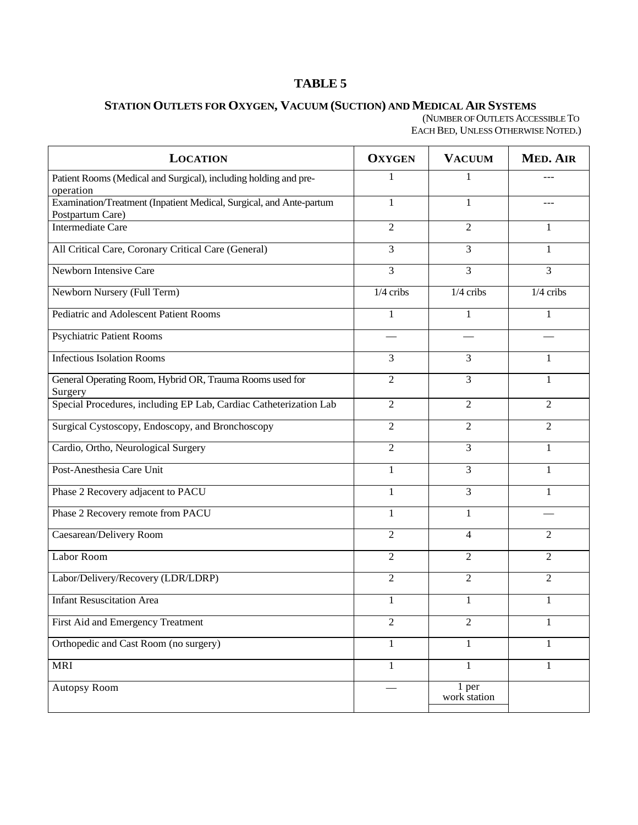## **(OAR 333-535-0300) TABLE 5**

## **STATION OUTLETS FOR OXYGEN, VACUUM (SUCTION) AND MEDICAL AIR SYSTEMS**

(NUMBER OF OUTLETS ACCESSIBLE TO EACH BED, UNLESS OTHERWISE NOTED.)

| <b>LOCATION</b>                                                                         | <b>OXYGEN</b>  | <b>VACUUM</b>         | <b>MED. AIR</b> |
|-----------------------------------------------------------------------------------------|----------------|-----------------------|-----------------|
| Patient Rooms (Medical and Surgical), including holding and pre-<br>operation           | 1              | $\mathbf{1}$          |                 |
| Examination/Treatment (Inpatient Medical, Surgical, and Ante-partum<br>Postpartum Care) | $\mathbf{1}$   | 1                     | ---             |
| <b>Intermediate Care</b>                                                                | $\overline{2}$ | $\overline{c}$        | 1               |
| All Critical Care, Coronary Critical Care (General)                                     | $\overline{3}$ | 3                     | 1               |
| Newborn Intensive Care                                                                  | 3              | 3                     | 3               |
| Newborn Nursery (Full Term)                                                             | $1/4$ cribs    | $1/4$ cribs           | $1/4$ cribs     |
| Pediatric and Adolescent Patient Rooms                                                  | 1              | 1                     | 1               |
| <b>Psychiatric Patient Rooms</b>                                                        |                |                       |                 |
| <b>Infectious Isolation Rooms</b>                                                       | 3              | 3                     | 1               |
| General Operating Room, Hybrid OR, Trauma Rooms used for<br>Surgery                     | $\overline{2}$ | 3                     | 1               |
| Special Procedures, including EP Lab, Cardiac Catheterization Lab                       | $\overline{2}$ | $\overline{2}$        | 2               |
| Surgical Cystoscopy, Endoscopy, and Bronchoscopy                                        | $\overline{2}$ | $\overline{2}$        | $\overline{2}$  |
| Cardio, Ortho, Neurological Surgery                                                     | $\overline{2}$ | 3                     | 1               |
| Post-Anesthesia Care Unit                                                               | $\mathbf{1}$   | 3                     | $\mathbf{1}$    |
| Phase 2 Recovery adjacent to PACU                                                       | 1              | 3                     | 1               |
| Phase 2 Recovery remote from PACU                                                       | $\mathbf{1}$   | $\mathbf{1}$          |                 |
| Caesarean/Delivery Room                                                                 | $\overline{2}$ | 4                     | 2               |
| Labor Room                                                                              | $\overline{2}$ | 2                     | $\overline{2}$  |
| Labor/Delivery/Recovery (LDR/LDRP)                                                      | $\overline{2}$ | 2                     | 2               |
| <b>Infant Resuscitation Area</b>                                                        | 1              | 1                     |                 |
| First Aid and Emergency Treatment                                                       | $\overline{2}$ | $\overline{2}$        | 1               |
| Orthopedic and Cast Room (no surgery)                                                   | $\mathbf{1}$   | $\mathbf{1}$          | $\mathbf{1}$    |
| <b>MRI</b>                                                                              | $\mathbf{1}$   | $\mathbf{1}$          | 1               |
| <b>Autopsy Room</b>                                                                     |                | 1 per<br>work station |                 |